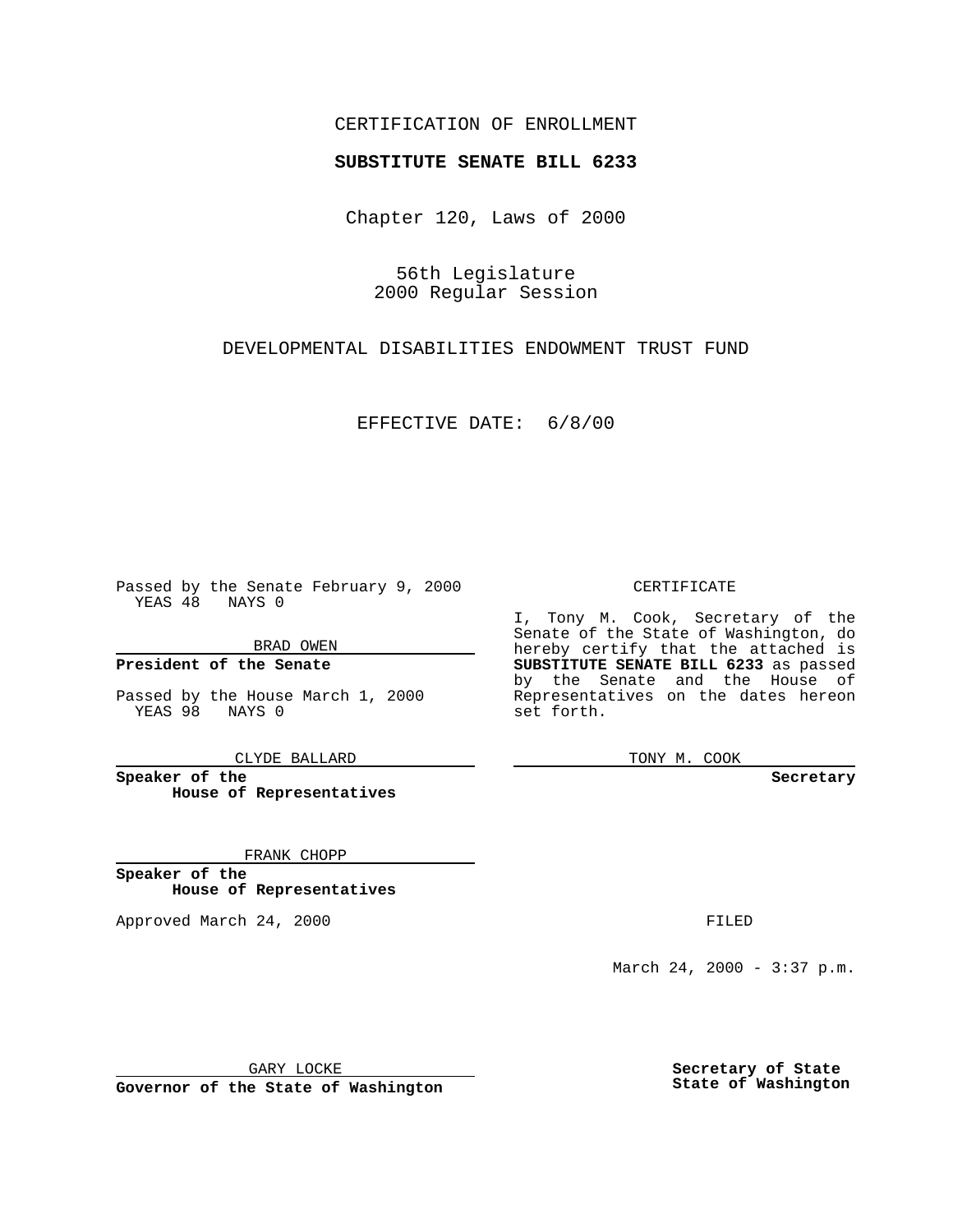### CERTIFICATION OF ENROLLMENT

# **SUBSTITUTE SENATE BILL 6233**

Chapter 120, Laws of 2000

56th Legislature 2000 Regular Session

DEVELOPMENTAL DISABILITIES ENDOWMENT TRUST FUND

EFFECTIVE DATE: 6/8/00

Passed by the Senate February 9, 2000 YEAS 48 NAYS 0

BRAD OWEN

**President of the Senate**

Passed by the House March 1, 2000 YEAS 98 NAYS 0

CLYDE BALLARD

**Speaker of the House of Representatives**

FRANK CHOPP

**Speaker of the House of Representatives**

Approved March 24, 2000 FILED

#### CERTIFICATE

I, Tony M. Cook, Secretary of the Senate of the State of Washington, do hereby certify that the attached is **SUBSTITUTE SENATE BILL 6233** as passed by the Senate and the House of Representatives on the dates hereon set forth.

TONY M. COOK

**Secretary**

March 24, 2000 - 3:37 p.m.

GARY LOCKE

**Governor of the State of Washington**

**Secretary of State State of Washington**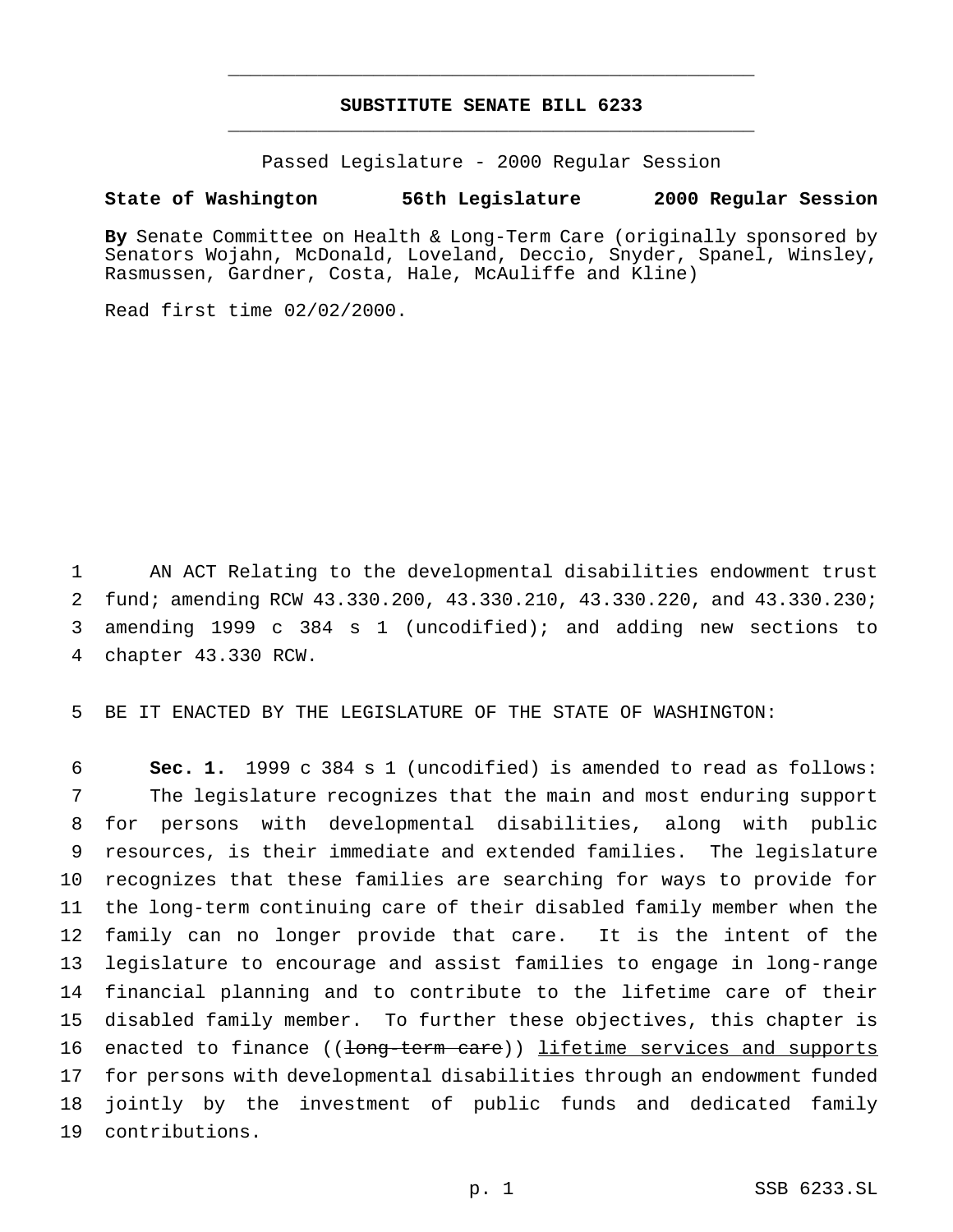## **SUBSTITUTE SENATE BILL 6233** \_\_\_\_\_\_\_\_\_\_\_\_\_\_\_\_\_\_\_\_\_\_\_\_\_\_\_\_\_\_\_\_\_\_\_\_\_\_\_\_\_\_\_\_\_\_\_

\_\_\_\_\_\_\_\_\_\_\_\_\_\_\_\_\_\_\_\_\_\_\_\_\_\_\_\_\_\_\_\_\_\_\_\_\_\_\_\_\_\_\_\_\_\_\_

Passed Legislature - 2000 Regular Session

### **State of Washington 56th Legislature 2000 Regular Session**

**By** Senate Committee on Health & Long-Term Care (originally sponsored by Senators Wojahn, McDonald, Loveland, Deccio, Snyder, Spanel, Winsley, Rasmussen, Gardner, Costa, Hale, McAuliffe and Kline)

Read first time 02/02/2000.

 AN ACT Relating to the developmental disabilities endowment trust fund; amending RCW 43.330.200, 43.330.210, 43.330.220, and 43.330.230; amending 1999 c 384 s 1 (uncodified); and adding new sections to chapter 43.330 RCW.

BE IT ENACTED BY THE LEGISLATURE OF THE STATE OF WASHINGTON:

 **Sec. 1.** 1999 c 384 s 1 (uncodified) is amended to read as follows: The legislature recognizes that the main and most enduring support for persons with developmental disabilities, along with public resources, is their immediate and extended families. The legislature recognizes that these families are searching for ways to provide for the long-term continuing care of their disabled family member when the family can no longer provide that care. It is the intent of the legislature to encourage and assist families to engage in long-range financial planning and to contribute to the lifetime care of their disabled family member. To further these objectives, this chapter is 16 enacted to finance ((<del>long-term care</del>)) lifetime services and supports for persons with developmental disabilities through an endowment funded jointly by the investment of public funds and dedicated family contributions.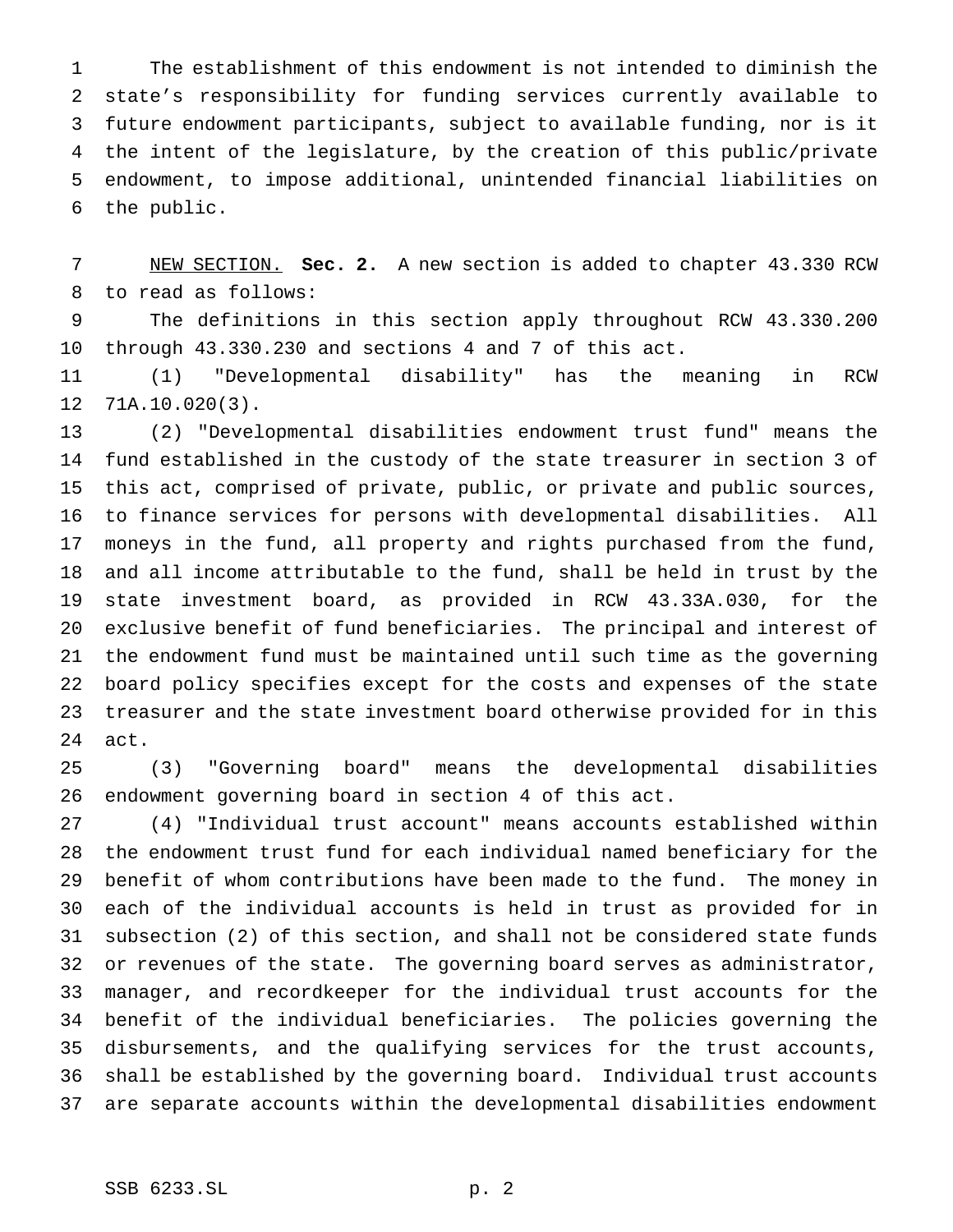The establishment of this endowment is not intended to diminish the state's responsibility for funding services currently available to future endowment participants, subject to available funding, nor is it the intent of the legislature, by the creation of this public/private endowment, to impose additional, unintended financial liabilities on the public.

 NEW SECTION. **Sec. 2.** A new section is added to chapter 43.330 RCW to read as follows:

 The definitions in this section apply throughout RCW 43.330.200 through 43.330.230 and sections 4 and 7 of this act.

 (1) "Developmental disability" has the meaning in RCW 71A.10.020(3).

 (2) "Developmental disabilities endowment trust fund" means the fund established in the custody of the state treasurer in section 3 of this act, comprised of private, public, or private and public sources, to finance services for persons with developmental disabilities. All moneys in the fund, all property and rights purchased from the fund, and all income attributable to the fund, shall be held in trust by the state investment board, as provided in RCW 43.33A.030, for the exclusive benefit of fund beneficiaries. The principal and interest of the endowment fund must be maintained until such time as the governing board policy specifies except for the costs and expenses of the state treasurer and the state investment board otherwise provided for in this act.

 (3) "Governing board" means the developmental disabilities endowment governing board in section 4 of this act.

 (4) "Individual trust account" means accounts established within the endowment trust fund for each individual named beneficiary for the benefit of whom contributions have been made to the fund. The money in each of the individual accounts is held in trust as provided for in subsection (2) of this section, and shall not be considered state funds or revenues of the state. The governing board serves as administrator, manager, and recordkeeper for the individual trust accounts for the benefit of the individual beneficiaries. The policies governing the disbursements, and the qualifying services for the trust accounts, shall be established by the governing board. Individual trust accounts are separate accounts within the developmental disabilities endowment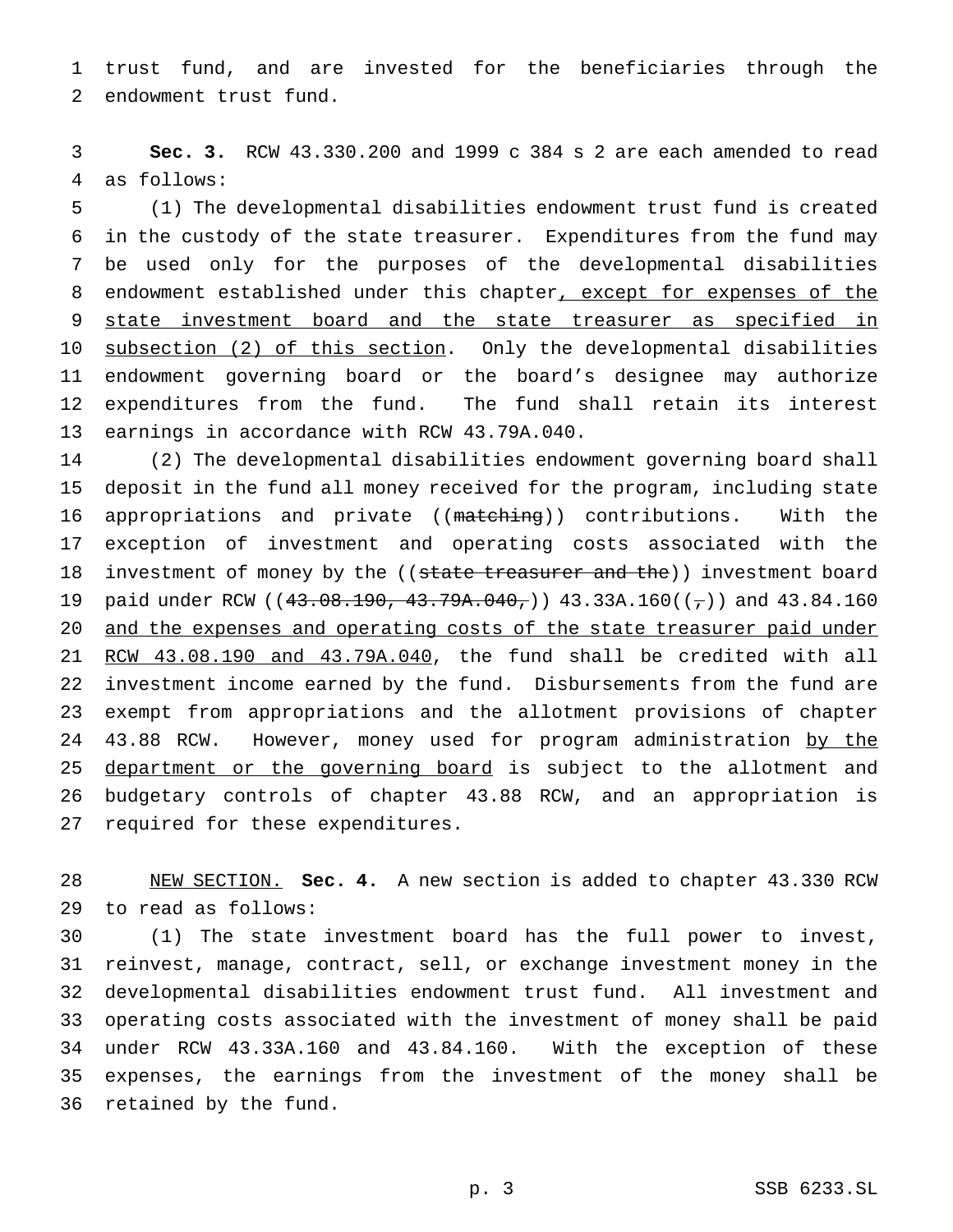trust fund, and are invested for the beneficiaries through the endowment trust fund.

 **Sec. 3.** RCW 43.330.200 and 1999 c 384 s 2 are each amended to read as follows:

 (1) The developmental disabilities endowment trust fund is created in the custody of the state treasurer. Expenditures from the fund may be used only for the purposes of the developmental disabilities 8 endowment established under this chapter, except for expenses of the 9 state investment board and the state treasurer as specified in 10 subsection (2) of this section. Only the developmental disabilities endowment governing board or the board's designee may authorize expenditures from the fund. The fund shall retain its interest earnings in accordance with RCW 43.79A.040.

 (2) The developmental disabilities endowment governing board shall deposit in the fund all money received for the program, including state 16 appropriations and private ((matching)) contributions. With the exception of investment and operating costs associated with the 18 investment of money by the ((state treasurer and the)) investment board 19 paid under RCW ( $(43.08.190, 43.79A.040)$ ) 43.33A.160( $(\tau)$ ) and 43.84.160 20 and the expenses and operating costs of the state treasurer paid under RCW 43.08.190 and 43.79A.040, the fund shall be credited with all investment income earned by the fund. Disbursements from the fund are exempt from appropriations and the allotment provisions of chapter 24 43.88 RCW. However, money used for program administration by the 25 department or the governing board is subject to the allotment and budgetary controls of chapter 43.88 RCW, and an appropriation is required for these expenditures.

 NEW SECTION. **Sec. 4.** A new section is added to chapter 43.330 RCW to read as follows:

 (1) The state investment board has the full power to invest, reinvest, manage, contract, sell, or exchange investment money in the developmental disabilities endowment trust fund. All investment and operating costs associated with the investment of money shall be paid under RCW 43.33A.160 and 43.84.160. With the exception of these expenses, the earnings from the investment of the money shall be retained by the fund.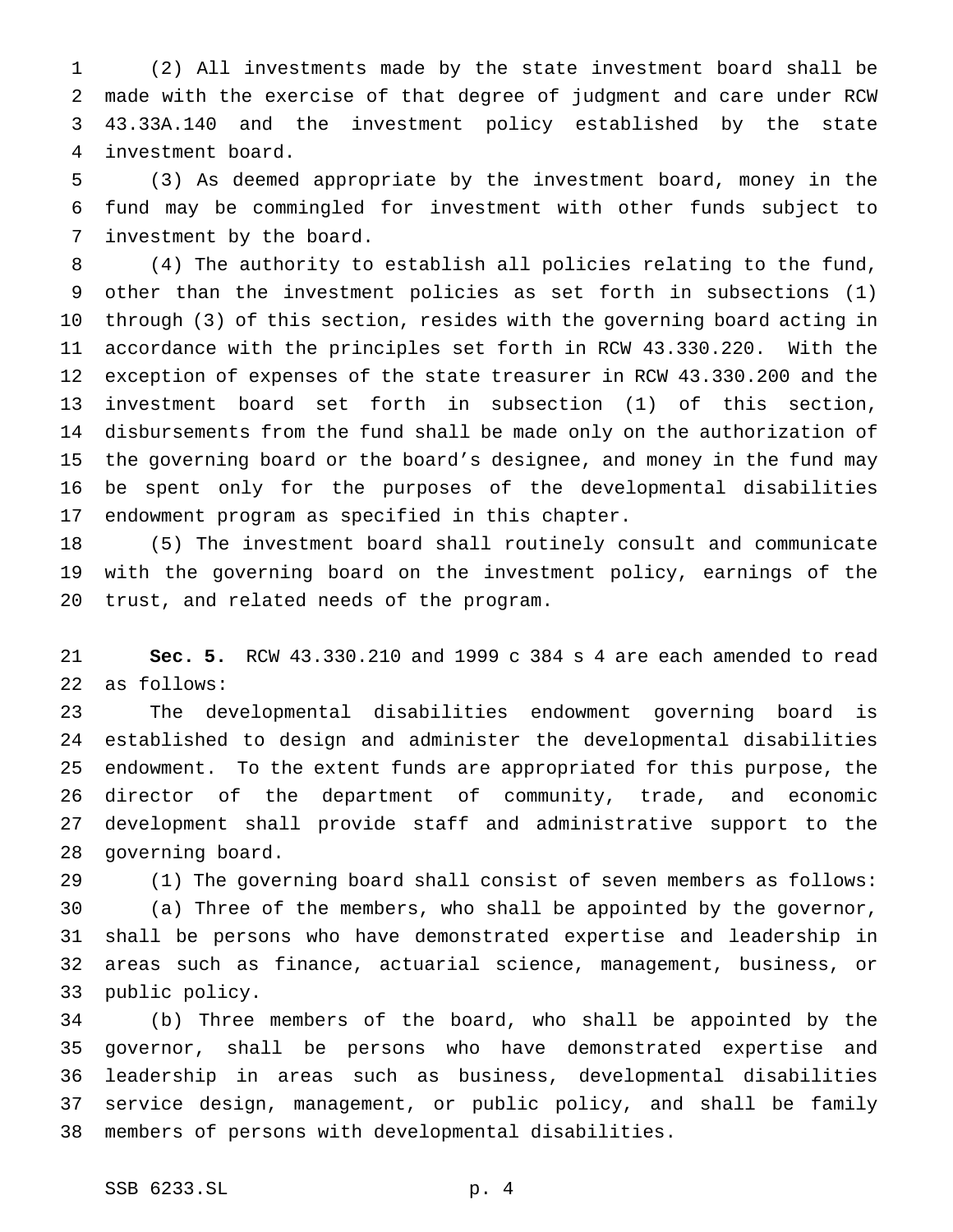(2) All investments made by the state investment board shall be made with the exercise of that degree of judgment and care under RCW 43.33A.140 and the investment policy established by the state investment board.

 (3) As deemed appropriate by the investment board, money in the fund may be commingled for investment with other funds subject to investment by the board.

 (4) The authority to establish all policies relating to the fund, other than the investment policies as set forth in subsections (1) through (3) of this section, resides with the governing board acting in accordance with the principles set forth in RCW 43.330.220. With the exception of expenses of the state treasurer in RCW 43.330.200 and the investment board set forth in subsection (1) of this section, disbursements from the fund shall be made only on the authorization of the governing board or the board's designee, and money in the fund may be spent only for the purposes of the developmental disabilities endowment program as specified in this chapter.

 (5) The investment board shall routinely consult and communicate with the governing board on the investment policy, earnings of the trust, and related needs of the program.

 **Sec. 5.** RCW 43.330.210 and 1999 c 384 s 4 are each amended to read as follows:

 The developmental disabilities endowment governing board is established to design and administer the developmental disabilities endowment. To the extent funds are appropriated for this purpose, the director of the department of community, trade, and economic development shall provide staff and administrative support to the governing board.

 (1) The governing board shall consist of seven members as follows: (a) Three of the members, who shall be appointed by the governor, shall be persons who have demonstrated expertise and leadership in areas such as finance, actuarial science, management, business, or public policy.

 (b) Three members of the board, who shall be appointed by the governor, shall be persons who have demonstrated expertise and leadership in areas such as business, developmental disabilities service design, management, or public policy, and shall be family members of persons with developmental disabilities.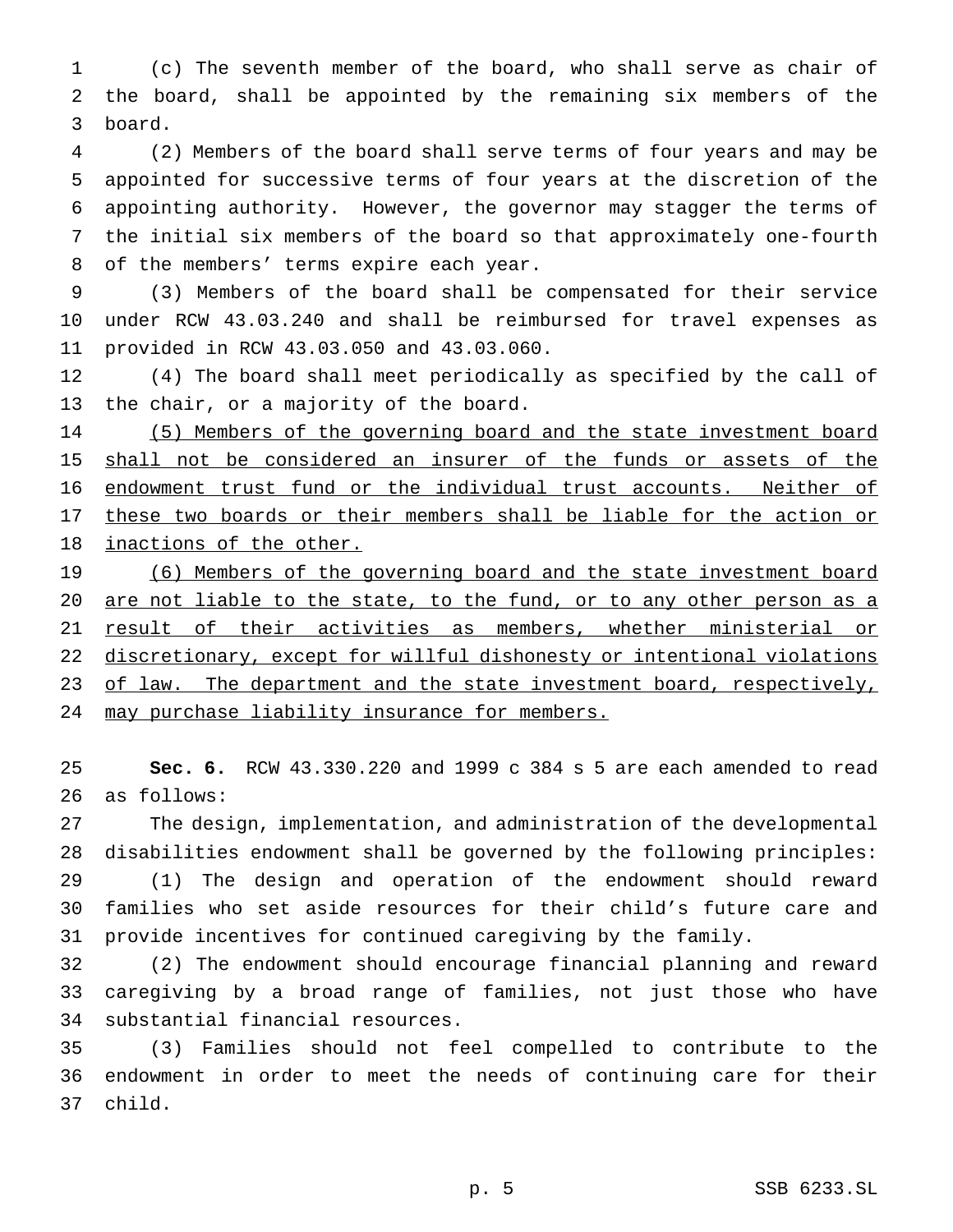(c) The seventh member of the board, who shall serve as chair of the board, shall be appointed by the remaining six members of the board.

 (2) Members of the board shall serve terms of four years and may be appointed for successive terms of four years at the discretion of the appointing authority. However, the governor may stagger the terms of the initial six members of the board so that approximately one-fourth of the members' terms expire each year.

 (3) Members of the board shall be compensated for their service under RCW 43.03.240 and shall be reimbursed for travel expenses as provided in RCW 43.03.050 and 43.03.060.

 (4) The board shall meet periodically as specified by the call of the chair, or a majority of the board.

 (5) Members of the governing board and the state investment board 15 shall not be considered an insurer of the funds or assets of the endowment trust fund or the individual trust accounts. Neither of 17 these two boards or their members shall be liable for the action or inactions of the other.

19 (6) Members of the governing board and the state investment board 20 are not liable to the state, to the fund, or to any other person as a result of their activities as members, whether ministerial or discretionary, except for willful dishonesty or intentional violations 23 of law. The department and the state investment board, respectively, may purchase liability insurance for members.

 **Sec. 6.** RCW 43.330.220 and 1999 c 384 s 5 are each amended to read as follows:

 The design, implementation, and administration of the developmental disabilities endowment shall be governed by the following principles: (1) The design and operation of the endowment should reward families who set aside resources for their child's future care and provide incentives for continued caregiving by the family.

 (2) The endowment should encourage financial planning and reward caregiving by a broad range of families, not just those who have substantial financial resources.

 (3) Families should not feel compelled to contribute to the endowment in order to meet the needs of continuing care for their child.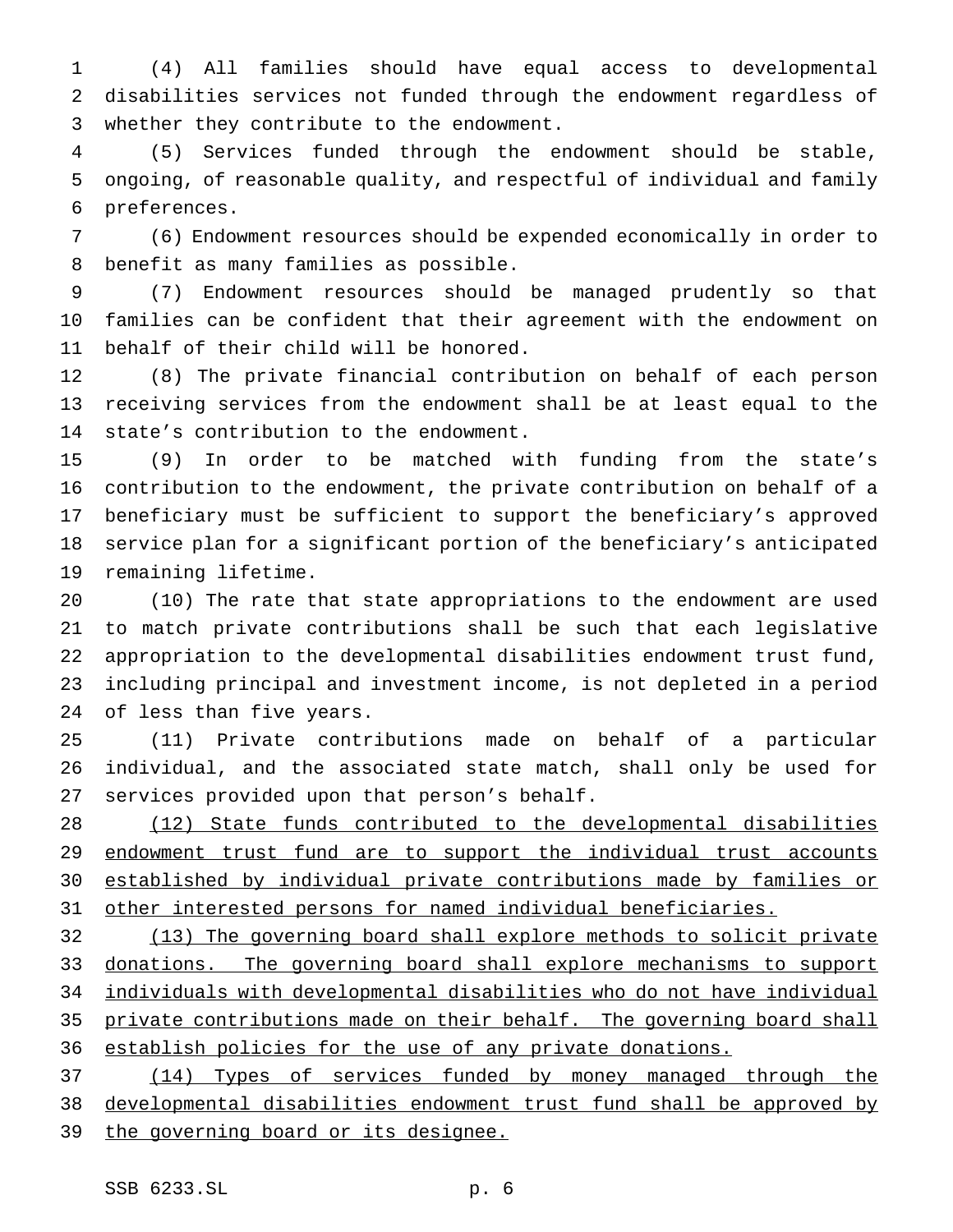(4) All families should have equal access to developmental disabilities services not funded through the endowment regardless of whether they contribute to the endowment.

 (5) Services funded through the endowment should be stable, ongoing, of reasonable quality, and respectful of individual and family preferences.

 (6) Endowment resources should be expended economically in order to benefit as many families as possible.

 (7) Endowment resources should be managed prudently so that families can be confident that their agreement with the endowment on behalf of their child will be honored.

 (8) The private financial contribution on behalf of each person receiving services from the endowment shall be at least equal to the state's contribution to the endowment.

 (9) In order to be matched with funding from the state's contribution to the endowment, the private contribution on behalf of a beneficiary must be sufficient to support the beneficiary's approved service plan for a significant portion of the beneficiary's anticipated remaining lifetime.

 (10) The rate that state appropriations to the endowment are used to match private contributions shall be such that each legislative appropriation to the developmental disabilities endowment trust fund, including principal and investment income, is not depleted in a period of less than five years.

 (11) Private contributions made on behalf of a particular individual, and the associated state match, shall only be used for services provided upon that person's behalf.

 (12) State funds contributed to the developmental disabilities 29 endowment trust fund are to support the individual trust accounts established by individual private contributions made by families or other interested persons for named individual beneficiaries.

 (13) The governing board shall explore methods to solicit private 33 donations. The governing board shall explore mechanisms to support individuals with developmental disabilities who do not have individual private contributions made on their behalf. The governing board shall establish policies for the use of any private donations.

 (14) Types of services funded by money managed through the developmental disabilities endowment trust fund shall be approved by 39 the governing board or its designee.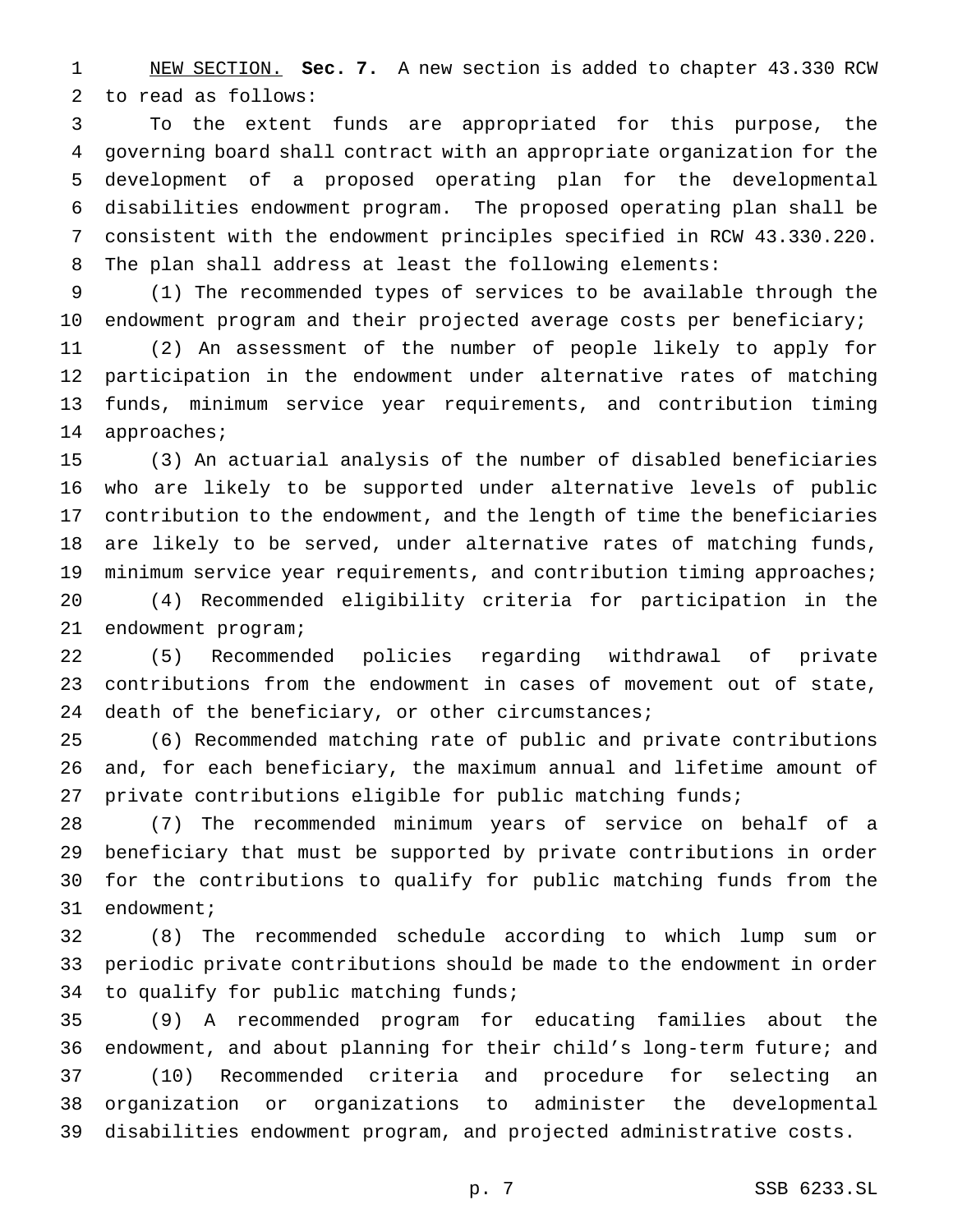NEW SECTION. **Sec. 7.** A new section is added to chapter 43.330 RCW to read as follows:

 To the extent funds are appropriated for this purpose, the governing board shall contract with an appropriate organization for the development of a proposed operating plan for the developmental disabilities endowment program. The proposed operating plan shall be consistent with the endowment principles specified in RCW 43.330.220. The plan shall address at least the following elements:

 (1) The recommended types of services to be available through the endowment program and their projected average costs per beneficiary;

 (2) An assessment of the number of people likely to apply for participation in the endowment under alternative rates of matching funds, minimum service year requirements, and contribution timing approaches;

 (3) An actuarial analysis of the number of disabled beneficiaries who are likely to be supported under alternative levels of public contribution to the endowment, and the length of time the beneficiaries are likely to be served, under alternative rates of matching funds, minimum service year requirements, and contribution timing approaches;

 (4) Recommended eligibility criteria for participation in the endowment program;

 (5) Recommended policies regarding withdrawal of private contributions from the endowment in cases of movement out of state, death of the beneficiary, or other circumstances;

 (6) Recommended matching rate of public and private contributions and, for each beneficiary, the maximum annual and lifetime amount of private contributions eligible for public matching funds;

 (7) The recommended minimum years of service on behalf of a beneficiary that must be supported by private contributions in order for the contributions to qualify for public matching funds from the endowment;

 (8) The recommended schedule according to which lump sum or periodic private contributions should be made to the endowment in order to qualify for public matching funds;

 (9) A recommended program for educating families about the endowment, and about planning for their child's long-term future; and (10) Recommended criteria and procedure for selecting an organization or organizations to administer the developmental disabilities endowment program, and projected administrative costs.